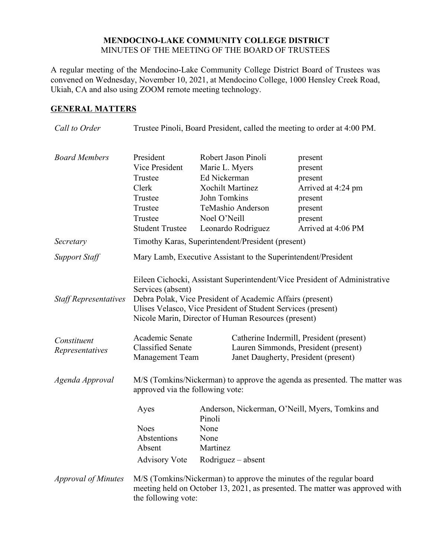#### **MENDOCINO-LAKE COMMUNITY COLLEGE DISTRICT** MINUTES OF THE MEETING OF THE BOARD OF TRUSTEES

A regular meeting of the Mendocino-Lake Community College District Board of Trustees was convened on Wednesday, November 10, 2021, at Mendocino College, 1000 Hensley Creek Road, Ukiah, CA and also using ZOOM remote meeting technology.

### **GENERAL MATTERS**

| Call to Order                  | Trustee Pinoli, Board President, called the meeting to order at 4:00 PM.                                                                                                                                                                                                            |                                                                                                                                                             |                                                                                                            |
|--------------------------------|-------------------------------------------------------------------------------------------------------------------------------------------------------------------------------------------------------------------------------------------------------------------------------------|-------------------------------------------------------------------------------------------------------------------------------------------------------------|------------------------------------------------------------------------------------------------------------|
| <b>Board Members</b>           | President<br>Vice President<br>Trustee<br>Clerk<br>Trustee<br>Trustee<br>Trustee<br><b>Student Trustee</b>                                                                                                                                                                          | Robert Jason Pinoli<br>Marie L. Myers<br>Ed Nickerman<br><b>Xochilt Martinez</b><br>John Tomkins<br>TeMashio Anderson<br>Noel O'Neill<br>Leonardo Rodriguez | present<br>present<br>present<br>Arrived at 4:24 pm<br>present<br>present<br>present<br>Arrived at 4:06 PM |
| Secretary                      | Timothy Karas, Superintendent/President (present)                                                                                                                                                                                                                                   |                                                                                                                                                             |                                                                                                            |
| <b>Support Staff</b>           | Mary Lamb, Executive Assistant to the Superintendent/President                                                                                                                                                                                                                      |                                                                                                                                                             |                                                                                                            |
| <b>Staff Representatives</b>   | Eileen Cichocki, Assistant Superintendent/Vice President of Administrative<br>Services (absent)<br>Debra Polak, Vice President of Academic Affairs (present)<br>Ulises Velasco, Vice President of Student Services (present)<br>Nicole Marin, Director of Human Resources (present) |                                                                                                                                                             |                                                                                                            |
| Constituent<br>Representatives | Academic Senate<br><b>Classified Senate</b><br><b>Management Team</b>                                                                                                                                                                                                               | Janet Daugherty, President (present)                                                                                                                        | Catherine Indermill, President (present)<br>Lauren Simmonds, President (present)                           |
| Agenda Approval                | M/S (Tomkins/Nickerman) to approve the agenda as presented. The matter was<br>approved via the following vote:                                                                                                                                                                      |                                                                                                                                                             |                                                                                                            |
|                                | Ayes<br><b>Noes</b><br>Abstentions<br>Absent<br><b>Advisory Vote</b>                                                                                                                                                                                                                | Anderson, Nickerman, O'Neill, Myers, Tomkins and<br>Pinoli<br>None<br>None<br>Martinez<br>$Rodriguez - absent$                                              |                                                                                                            |
| <b>Approval of Minutes</b>     | the following vote:                                                                                                                                                                                                                                                                 | M/S (Tomkins/Nickerman) to approve the minutes of the regular board                                                                                         | meeting held on October 13, 2021, as presented. The matter was approved with                               |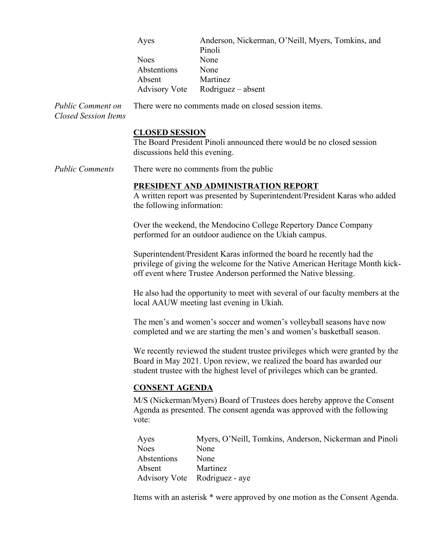|                                                         | Ayes                                                                                                                                                                                                                                 | Anderson, Nickerman, O'Neill, Myers, Tomkins, and<br>Pinoli                                                                                                                                                              |  |
|---------------------------------------------------------|--------------------------------------------------------------------------------------------------------------------------------------------------------------------------------------------------------------------------------------|--------------------------------------------------------------------------------------------------------------------------------------------------------------------------------------------------------------------------|--|
|                                                         | <b>Noes</b>                                                                                                                                                                                                                          | None                                                                                                                                                                                                                     |  |
|                                                         | Abstentions                                                                                                                                                                                                                          | None                                                                                                                                                                                                                     |  |
|                                                         | Absent                                                                                                                                                                                                                               | Martinez                                                                                                                                                                                                                 |  |
|                                                         |                                                                                                                                                                                                                                      | Advisory Vote Rodriguez – absent                                                                                                                                                                                         |  |
| <b>Public Comment on</b><br><b>Closed Session Items</b> |                                                                                                                                                                                                                                      | There were no comments made on closed session items.                                                                                                                                                                     |  |
|                                                         | <b>CLOSED SESSION</b><br>discussions held this evening.                                                                                                                                                                              | The Board President Pinoli announced there would be no closed session                                                                                                                                                    |  |
| <b>Public Comments</b>                                  |                                                                                                                                                                                                                                      | There were no comments from the public                                                                                                                                                                                   |  |
|                                                         | PRESIDENT AND ADMINISTRATION REPORT<br>A written report was presented by Superintendent/President Karas who added<br>the following information:                                                                                      |                                                                                                                                                                                                                          |  |
|                                                         | Over the weekend, the Mendocino College Repertory Dance Company<br>performed for an outdoor audience on the Ukiah campus.                                                                                                            |                                                                                                                                                                                                                          |  |
|                                                         |                                                                                                                                                                                                                                      | Superintendent/President Karas informed the board he recently had the<br>privilege of giving the welcome for the Native American Heritage Month kick-<br>off event where Trustee Anderson performed the Native blessing. |  |
|                                                         |                                                                                                                                                                                                                                      | He also had the opportunity to meet with several of our faculty members at the<br>local AAUW meeting last evening in Ukiah.                                                                                              |  |
|                                                         |                                                                                                                                                                                                                                      | The men's and women's soccer and women's volleyball seasons have now<br>completed and we are starting the men's and women's basketball season.                                                                           |  |
|                                                         | We recently reviewed the student trustee privileges which were granted by the<br>Board in May 2021. Upon review, we realized the board has awarded our<br>student trustee with the highest level of privileges which can be granted. |                                                                                                                                                                                                                          |  |
|                                                         | <b>CONSENT AGENDA</b>                                                                                                                                                                                                                |                                                                                                                                                                                                                          |  |
|                                                         | M/S (Nickerman/Myers) Board of Trustees does hereby approve the Consent<br>Agenda as presented. The consent agenda was approved with the following<br>vote:                                                                          |                                                                                                                                                                                                                          |  |
|                                                         | Ayes                                                                                                                                                                                                                                 | Myers, O'Neill, Tomkins, Anderson, Nickerman and Pinoli                                                                                                                                                                  |  |
|                                                         | <b>Noes</b>                                                                                                                                                                                                                          | None                                                                                                                                                                                                                     |  |
|                                                         | Abstentions                                                                                                                                                                                                                          | None                                                                                                                                                                                                                     |  |
|                                                         | Absent                                                                                                                                                                                                                               | Martinez                                                                                                                                                                                                                 |  |
|                                                         | <b>Advisory Vote</b>                                                                                                                                                                                                                 | Rodriguez - aye                                                                                                                                                                                                          |  |
|                                                         |                                                                                                                                                                                                                                      | Items with an asterisk * were approved by one motion as the Consent Agenda.                                                                                                                                              |  |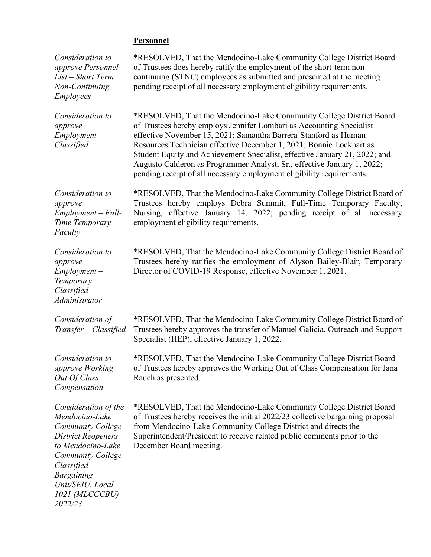# **Personnel**

| Consideration to<br>approve Personnel<br>List - Short Term<br>Non-Continuing<br><b>Employees</b>                                                                                                                                     | *RESOLVED, That the Mendocino-Lake Community College District Board<br>of Trustees does hereby ratify the employment of the short-term non-<br>continuing (STNC) employees as submitted and presented at the meeting<br>pending receipt of all necessary employment eligibility requirements.                                                                                                                                                                                                                           |
|--------------------------------------------------------------------------------------------------------------------------------------------------------------------------------------------------------------------------------------|-------------------------------------------------------------------------------------------------------------------------------------------------------------------------------------------------------------------------------------------------------------------------------------------------------------------------------------------------------------------------------------------------------------------------------------------------------------------------------------------------------------------------|
| Consideration to<br>approve<br>$Employment -$<br>Classified                                                                                                                                                                          | *RESOLVED, That the Mendocino-Lake Community College District Board<br>of Trustees hereby employs Jennifer Lombari as Accounting Specialist<br>effective November 15, 2021; Samantha Barrera-Stanford as Human<br>Resources Technician effective December 1, 2021; Bonnie Lockhart as<br>Student Equity and Achievement Specialist, effective January 21, 2022; and<br>Augusto Calderon as Programmer Analyst, Sr., effective January 1, 2022;<br>pending receipt of all necessary employment eligibility requirements. |
| Consideration to<br>approve<br>$Employment - Full-$<br>Time Temporary<br>Faculty                                                                                                                                                     | *RESOLVED, That the Mendocino-Lake Community College District Board of<br>Trustees hereby employs Debra Summit, Full-Time Temporary Faculty,<br>Nursing, effective January 14, 2022; pending receipt of all necessary<br>employment eligibility requirements.                                                                                                                                                                                                                                                           |
| Consideration to<br>approve<br>$Employment -$<br>Temporary<br>Classified<br>Administrator                                                                                                                                            | *RESOLVED, That the Mendocino-Lake Community College District Board of<br>Trustees hereby ratifies the employment of Alyson Bailey-Blair, Temporary<br>Director of COVID-19 Response, effective November 1, 2021.                                                                                                                                                                                                                                                                                                       |
| Consideration of<br>Transfer – Classified                                                                                                                                                                                            | *RESOLVED, That the Mendocino-Lake Community College District Board of<br>Trustees hereby approves the transfer of Manuel Galicia, Outreach and Support<br>Specialist (HEP), effective January 1, 2022.                                                                                                                                                                                                                                                                                                                 |
| Consideration to<br>approve Working<br>Out Of Class<br>Compensation                                                                                                                                                                  | *RESOLVED, That the Mendocino-Lake Community College District Board<br>of Trustees hereby approves the Working Out of Class Compensation for Jana<br>Rauch as presented.                                                                                                                                                                                                                                                                                                                                                |
| Consideration of the<br>Mendocino-Lake<br><b>Community College</b><br><b>District Reopeners</b><br>to Mendocino-Lake<br><b>Community College</b><br>Classified<br><b>Bargaining</b><br>Unit/SEIU, Local<br>1021 (MLCCCBU)<br>2022/23 | *RESOLVED, That the Mendocino-Lake Community College District Board<br>of Trustees hereby receives the initial 2022/23 collective bargaining proposal<br>from Mendocino-Lake Community College District and directs the<br>Superintendent/President to receive related public comments prior to the<br>December Board meeting.                                                                                                                                                                                          |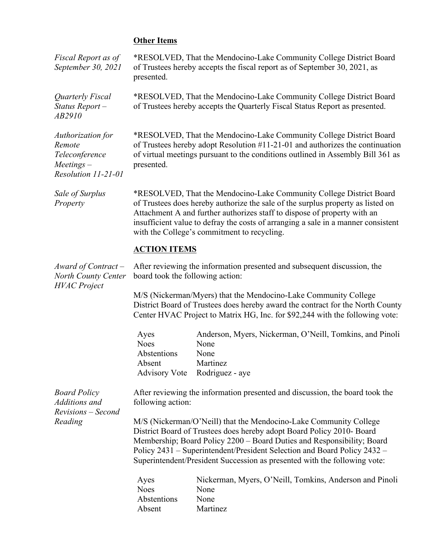# **Other Items**

| Fiscal Report as of<br>September 30, 2021                                            | presented.                                                                                                                                                                                                                                                                                                                                                                    | *RESOLVED, That the Mendocino-Lake Community College District Board<br>of Trustees hereby accepts the fiscal report as of September 30, 2021, as |  |
|--------------------------------------------------------------------------------------|-------------------------------------------------------------------------------------------------------------------------------------------------------------------------------------------------------------------------------------------------------------------------------------------------------------------------------------------------------------------------------|--------------------------------------------------------------------------------------------------------------------------------------------------|--|
| Quarterly Fiscal<br>Status Report-<br>AB2910                                         | *RESOLVED, That the Mendocino-Lake Community College District Board<br>of Trustees hereby accepts the Quarterly Fiscal Status Report as presented.                                                                                                                                                                                                                            |                                                                                                                                                  |  |
| Authorization for<br>Remote<br>Teleconference<br>$Meetings -$<br>Resolution 11-21-01 | *RESOLVED, That the Mendocino-Lake Community College District Board<br>of Trustees hereby adopt Resolution $#11-21-01$ and authorizes the continuation<br>of virtual meetings pursuant to the conditions outlined in Assembly Bill 361 as<br>presented.                                                                                                                       |                                                                                                                                                  |  |
| Sale of Surplus<br>Property                                                          | *RESOLVED, That the Mendocino-Lake Community College District Board<br>of Trustees does hereby authorize the sale of the surplus property as listed on<br>Attachment A and further authorizes staff to dispose of property with an<br>insufficient value to defray the costs of arranging a sale in a manner consistent<br>with the College's commitment to recycling.        |                                                                                                                                                  |  |
|                                                                                      | <b>ACTION ITEMS</b>                                                                                                                                                                                                                                                                                                                                                           |                                                                                                                                                  |  |
| Award of Contract –<br>North County Center<br><b>HVAC</b> Project                    | After reviewing the information presented and subsequent discussion, the<br>board took the following action:                                                                                                                                                                                                                                                                  |                                                                                                                                                  |  |
|                                                                                      | M/S (Nickerman/Myers) that the Mendocino-Lake Community College<br>District Board of Trustees does hereby award the contract for the North County<br>Center HVAC Project to Matrix HG, Inc. for \$92,244 with the following vote:                                                                                                                                             |                                                                                                                                                  |  |
|                                                                                      | Ayes<br><b>Noes</b><br>Abstentions<br>Absent                                                                                                                                                                                                                                                                                                                                  | Anderson, Myers, Nickerman, O'Neill, Tomkins, and Pinoli<br>None<br>None<br>Martinez<br>Advisory Vote Rodriguez - aye                            |  |
| <b>Board Policy</b><br>Additions and<br>Revisions - Second<br>Reading                | After reviewing the information presented and discussion, the board took the<br>following action:                                                                                                                                                                                                                                                                             |                                                                                                                                                  |  |
|                                                                                      | M/S (Nickerman/O'Neill) that the Mendocino-Lake Community College<br>District Board of Trustees does hereby adopt Board Policy 2010- Board<br>Membership; Board Policy 2200 - Board Duties and Responsibility; Board<br>Policy 2431 - Superintendent/President Selection and Board Policy 2432 -<br>Superintendent/President Succession as presented with the following vote: |                                                                                                                                                  |  |
|                                                                                      | Ayes<br><b>Noes</b><br>Abstentions<br>Absent                                                                                                                                                                                                                                                                                                                                  | Nickerman, Myers, O'Neill, Tomkins, Anderson and Pinoli<br>None<br>None<br>Martinez                                                              |  |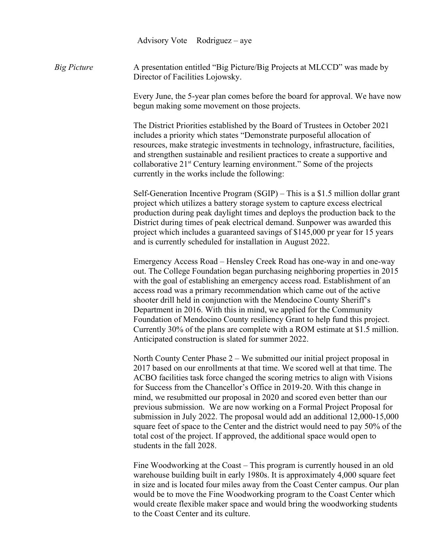Advisory Vote Rodriguez – aye

*Big Picture* A presentation entitled "Big Picture/Big Projects at MLCCD" was made by Director of Facilities Lojowsky.

> Every June, the 5-year plan comes before the board for approval. We have now begun making some movement on those projects.

The District Priorities established by the Board of Trustees in October 2021 includes a priority which states "Demonstrate purposeful allocation of resources, make strategic investments in technology, infrastructure, facilities, and strengthen sustainable and resilient practices to create a supportive and collaborative  $21<sup>st</sup>$  Century learning environment." Some of the projects currently in the works include the following:

Self-Generation Incentive Program (SGIP) – This is a \$1.5 million dollar grant project which utilizes a battery storage system to capture excess electrical production during peak daylight times and deploys the production back to the District during times of peak electrical demand. Sunpower was awarded this project which includes a guaranteed savings of \$145,000 pr year for 15 years and is currently scheduled for installation in August 2022.

Emergency Access Road – Hensley Creek Road has one-way in and one-way out. The College Foundation began purchasing neighboring properties in 2015 with the goal of establishing an emergency access road. Establishment of an access road was a primary recommendation which came out of the active shooter drill held in conjunction with the Mendocino County Sheriff's Department in 2016. With this in mind, we applied for the Community Foundation of Mendocino County resiliency Grant to help fund this project. Currently 30% of the plans are complete with a ROM estimate at \$1.5 million. Anticipated construction is slated for summer 2022.

North County Center Phase 2 – We submitted our initial project proposal in 2017 based on our enrollments at that time. We scored well at that time. The ACBO facilities task force changed the scoring metrics to align with Visions for Success from the Chancellor's Office in 2019-20. With this change in mind, we resubmitted our proposal in 2020 and scored even better than our previous submission. We are now working on a Formal Project Proposal for submission in July 2022. The proposal would add an additional 12,000-15,000 square feet of space to the Center and the district would need to pay 50% of the total cost of the project. If approved, the additional space would open to students in the fall 2028.

Fine Woodworking at the Coast – This program is currently housed in an old warehouse building built in early 1980s. It is approximately 4,000 square feet in size and is located four miles away from the Coast Center campus. Our plan would be to move the Fine Woodworking program to the Coast Center which would create flexible maker space and would bring the woodworking students to the Coast Center and its culture.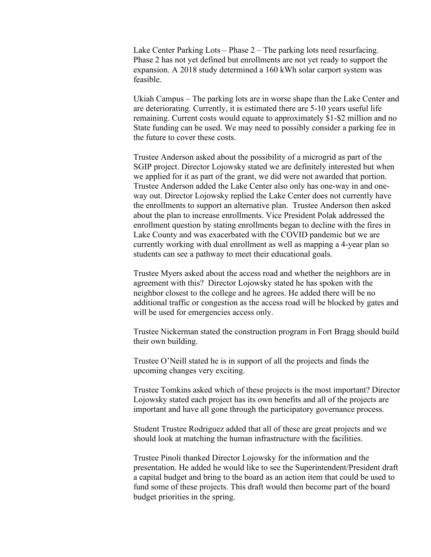Lake Center Parking Lots – Phase 2 – The parking lots need resurfacing. Phase 2 has not yet defined but enrollments are not yet ready to support the expansion. A 2018 study determined a 160 kWh solar carport system was feasible.

Ukiah Campus – The parking lots are in worse shape than the Lake Center and are deteriorating. Currently, it is estimated there are 5-10 years useful life remaining. Current costs would equate to approximately \$1-\$2 million and no State funding can be used. We may need to possibly consider a parking fee in the future to cover these costs.

Trustee Anderson asked about the possibility of a microgrid as part of the SGIP project. Director Lojowsky stated we are definitely interested but when we applied for it as part of the grant, we did were not awarded that portion. Trustee Anderson added the Lake Center also only has one-way in and oneway out. Director Lojowsky replied the Lake Center does not currently have the enrollments to support an alternative plan. Trustee Anderson then asked about the plan to increase enrollments. Vice President Polak addressed the enrollment question by stating enrollments began to decline with the fires in Lake County and was exacerbated with the COVID pandemic but we are currently working with dual enrollment as well as mapping a 4-year plan so students can see a pathway to meet their educational goals.

Trustee Myers asked about the access road and whether the neighbors are in agreement with this? Director Lojowsky stated he has spoken with the neighbor closest to the college and he agrees. He added there will be no additional traffic or congestion as the access road will be blocked by gates and will be used for emergencies access only.

Trustee Nickerman stated the construction program in Fort Bragg should build their own building.

Trustee O'Neill stated he is in support of all the projects and finds the upcoming changes very exciting.

Trustee Tomkins asked which of these projects is the most important? Director Lojowsky stated each project has its own benefits and all of the projects are important and have all gone through the participatory governance process.

Student Trustee Rodriguez added that all of these are great projects and we should look at matching the human infrastructure with the facilities.

Trustee Pinoli thanked Director Lojowsky for the information and the presentation. He added he would like to see the Superintendent/President draft a capital budget and bring to the board as an action item that could be used to fund some of these projects. This draft would then become part of the board budget priorities in the spring.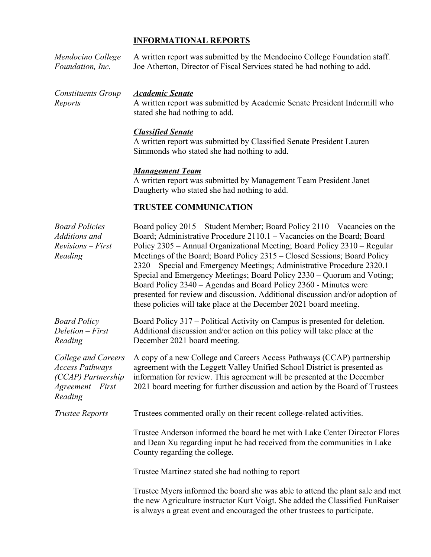#### **INFORMATIONAL REPORTS**

| Mendocino College<br>Foundation, Inc.                                                                 | A written report was submitted by the Mendocino College Foundation staff.<br>Joe Atherton, Director of Fiscal Services stated he had nothing to add.                                                                                                                                                                                                                                                                                                                                                                                                                                                                                                                                        |
|-------------------------------------------------------------------------------------------------------|---------------------------------------------------------------------------------------------------------------------------------------------------------------------------------------------------------------------------------------------------------------------------------------------------------------------------------------------------------------------------------------------------------------------------------------------------------------------------------------------------------------------------------------------------------------------------------------------------------------------------------------------------------------------------------------------|
| <b>Constituents Group</b><br>Reports                                                                  | <b>Academic Senate</b><br>A written report was submitted by Academic Senate President Indermill who<br>stated she had nothing to add.                                                                                                                                                                                                                                                                                                                                                                                                                                                                                                                                                       |
|                                                                                                       | <b>Classified Senate</b><br>A written report was submitted by Classified Senate President Lauren<br>Simmonds who stated she had nothing to add.                                                                                                                                                                                                                                                                                                                                                                                                                                                                                                                                             |
|                                                                                                       | <b>Management Team</b><br>A written report was submitted by Management Team President Janet<br>Daugherty who stated she had nothing to add.                                                                                                                                                                                                                                                                                                                                                                                                                                                                                                                                                 |
|                                                                                                       | <b>TRUSTEE COMMUNICATION</b>                                                                                                                                                                                                                                                                                                                                                                                                                                                                                                                                                                                                                                                                |
| <b>Board Policies</b><br>Additions and<br>$Revisions - First$<br>Reading                              | Board policy 2015 - Student Member; Board Policy 2110 - Vacancies on the<br>Board; Administrative Procedure 2110.1 – Vacancies on the Board; Board<br>Policy 2305 - Annual Organizational Meeting; Board Policy 2310 - Regular<br>Meetings of the Board; Board Policy 2315 – Closed Sessions; Board Policy<br>2320 – Special and Emergency Meetings; Administrative Procedure 2320.1 –<br>Special and Emergency Meetings; Board Policy 2330 - Quorum and Voting;<br>Board Policy 2340 - Agendas and Board Policy 2360 - Minutes were<br>presented for review and discussion. Additional discussion and/or adoption of<br>these policies will take place at the December 2021 board meeting. |
| <b>Board Policy</b><br>Deletion - First<br>Reading                                                    | Board Policy 317 – Political Activity on Campus is presented for deletion.<br>Additional discussion and/or action on this policy will take place at the<br>December 2021 board meeting.                                                                                                                                                                                                                                                                                                                                                                                                                                                                                                     |
| College and Careers<br><b>Access Pathways</b><br>(CCAP) Partnership<br>$Agreement - First$<br>Reading | A copy of a new College and Careers Access Pathways (CCAP) partnership<br>agreement with the Leggett Valley Unified School District is presented as<br>information for review. This agreement will be presented at the December<br>2021 board meeting for further discussion and action by the Board of Trustees                                                                                                                                                                                                                                                                                                                                                                            |
| <b>Trustee Reports</b>                                                                                | Trustees commented orally on their recent college-related activities.                                                                                                                                                                                                                                                                                                                                                                                                                                                                                                                                                                                                                       |
|                                                                                                       | Trustee Anderson informed the board he met with Lake Center Director Flores<br>and Dean Xu regarding input he had received from the communities in Lake<br>County regarding the college.                                                                                                                                                                                                                                                                                                                                                                                                                                                                                                    |

Trustee Martinez stated she had nothing to report

Trustee Myers informed the board she was able to attend the plant sale and met the new Agriculture instructor Kurt Voigt. She added the Classified FunRaiser is always a great event and encouraged the other trustees to participate.